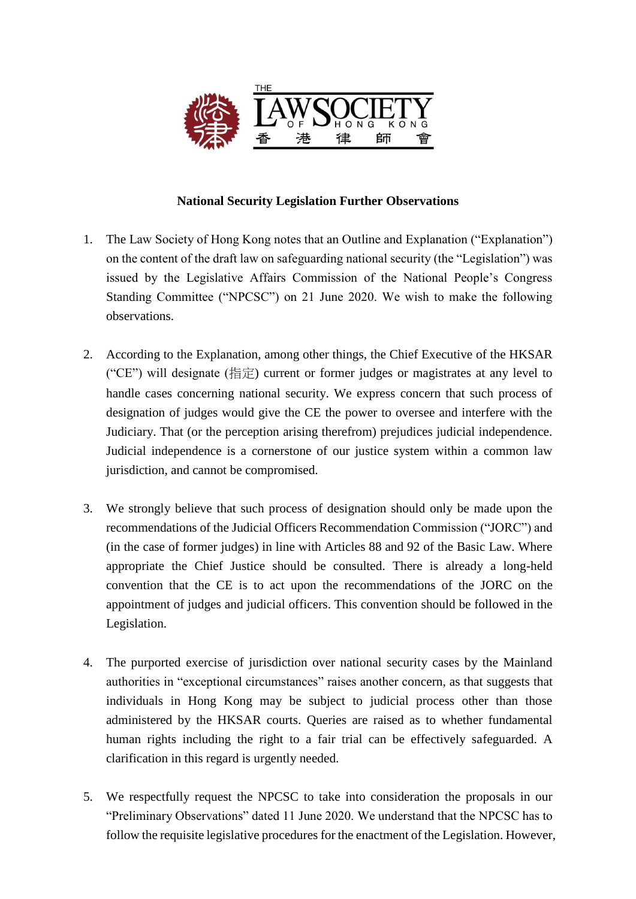

## **National Security Legislation Further Observations**

- 1. The Law Society of Hong Kong notes that an Outline and Explanation ("Explanation") on the content of the draft law on safeguarding national security (the "Legislation") was issued by the Legislative Affairs Commission of the National People's Congress Standing Committee ("NPCSC") on 21 June 2020. We wish to make the following observations.
- 2. According to the Explanation, among other things, the Chief Executive of the HKSAR ("CE") will designate (指定) current or former judges or magistrates at any level to handle cases concerning national security. We express concern that such process of designation of judges would give the CE the power to oversee and interfere with the Judiciary. That (or the perception arising therefrom) prejudices judicial independence. Judicial independence is a cornerstone of our justice system within a common law jurisdiction, and cannot be compromised.
- 3. We strongly believe that such process of designation should only be made upon the recommendations of the Judicial Officers Recommendation Commission ("JORC") and (in the case of former judges) in line with Articles 88 and 92 of the Basic Law. Where appropriate the Chief Justice should be consulted. There is already a long-held convention that the CE is to act upon the recommendations of the JORC on the appointment of judges and judicial officers. This convention should be followed in the Legislation.
- 4. The purported exercise of jurisdiction over national security cases by the Mainland authorities in "exceptional circumstances" raises another concern, as that suggests that individuals in Hong Kong may be subject to judicial process other than those administered by the HKSAR courts. Queries are raised as to whether fundamental human rights including the right to a fair trial can be effectively safeguarded. A clarification in this regard is urgently needed.
- 5. We respectfully request the NPCSC to take into consideration the proposals in our "Preliminary Observations" dated 11 June 2020. We understand that the NPCSC has to follow the requisite legislative procedures for the enactment of the Legislation. However,